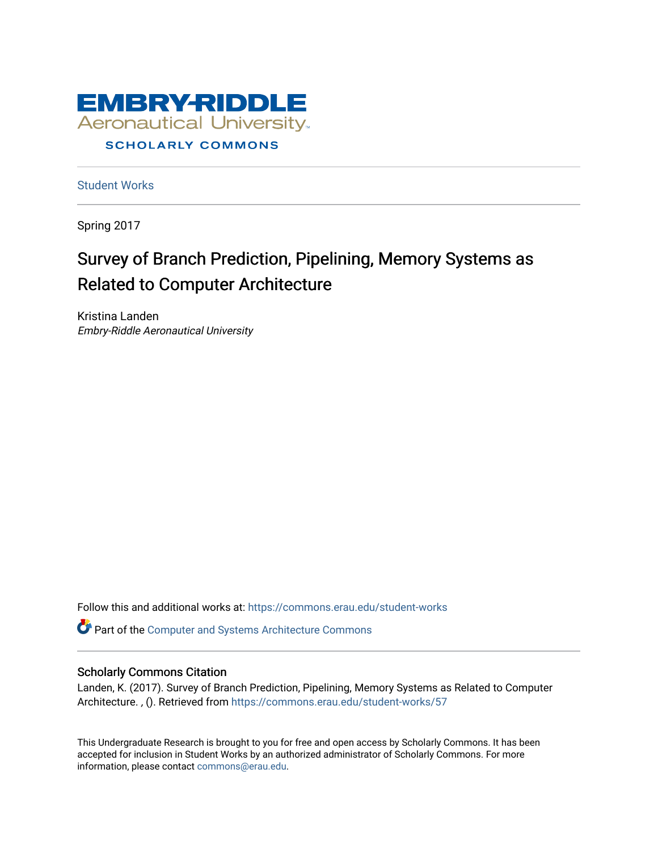

[Student Works](https://commons.erau.edu/student-works)

Spring 2017

# Survey of Branch Prediction, Pipelining, Memory Systems as Related to Computer Architecture

Kristina Landen Embry-Riddle Aeronautical University

Follow this and additional works at: [https://commons.erau.edu/student-works](https://commons.erau.edu/student-works?utm_source=commons.erau.edu%2Fstudent-works%2F57&utm_medium=PDF&utm_campaign=PDFCoverPages) 

Part of the [Computer and Systems Architecture Commons](http://network.bepress.com/hgg/discipline/259?utm_source=commons.erau.edu%2Fstudent-works%2F57&utm_medium=PDF&utm_campaign=PDFCoverPages)

#### Scholarly Commons Citation

Landen, K. (2017). Survey of Branch Prediction, Pipelining, Memory Systems as Related to Computer Architecture. , (). Retrieved from [https://commons.erau.edu/student-works/57](https://commons.erau.edu/student-works/57?utm_source=commons.erau.edu%2Fstudent-works%2F57&utm_medium=PDF&utm_campaign=PDFCoverPages)

This Undergraduate Research is brought to you for free and open access by Scholarly Commons. It has been accepted for inclusion in Student Works by an authorized administrator of Scholarly Commons. For more information, please contact [commons@erau.edu.](mailto:commons@erau.edu)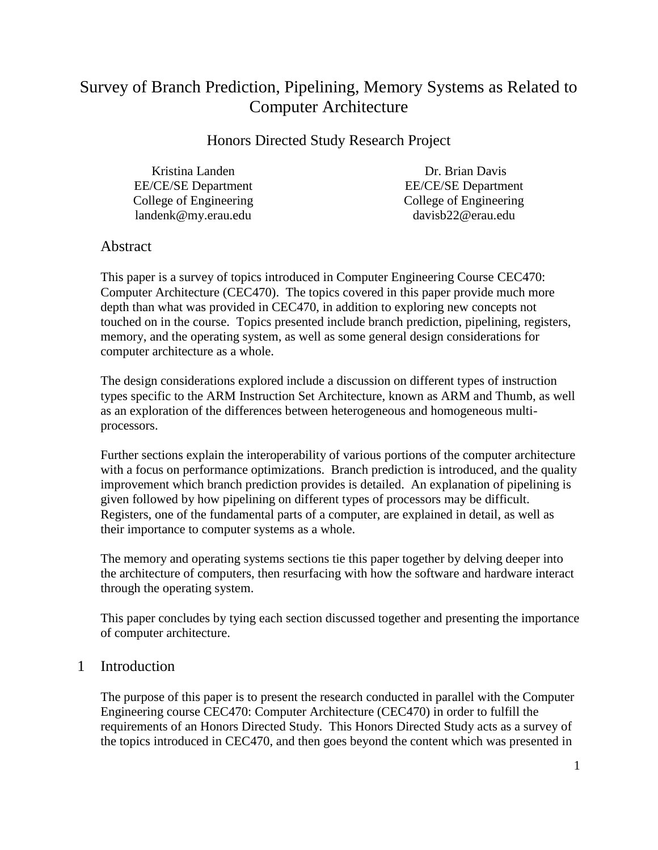## Survey of Branch Prediction, Pipelining, Memory Systems as Related to Computer Architecture

Honors Directed Study Research Project

Kristina Landen EE/CE/SE Department College of Engineering landenk@my.erau.edu

Dr. Brian Davis EE/CE/SE Department College of Engineering davisb22@erau.edu

## Abstract

This paper is a survey of topics introduced in Computer Engineering Course CEC470: Computer Architecture (CEC470). The topics covered in this paper provide much more depth than what was provided in CEC470, in addition to exploring new concepts not touched on in the course. Topics presented include branch prediction, pipelining, registers, memory, and the operating system, as well as some general design considerations for computer architecture as a whole.

The design considerations explored include a discussion on different types of instruction types specific to the ARM Instruction Set Architecture, known as ARM and Thumb, as well as an exploration of the differences between heterogeneous and homogeneous multiprocessors.

Further sections explain the interoperability of various portions of the computer architecture with a focus on performance optimizations. Branch prediction is introduced, and the quality improvement which branch prediction provides is detailed. An explanation of pipelining is given followed by how pipelining on different types of processors may be difficult. Registers, one of the fundamental parts of a computer, are explained in detail, as well as their importance to computer systems as a whole.

The memory and operating systems sections tie this paper together by delving deeper into the architecture of computers, then resurfacing with how the software and hardware interact through the operating system.

This paper concludes by tying each section discussed together and presenting the importance of computer architecture.

## 1 Introduction

The purpose of this paper is to present the research conducted in parallel with the Computer Engineering course CEC470: Computer Architecture (CEC470) in order to fulfill the requirements of an Honors Directed Study. This Honors Directed Study acts as a survey of the topics introduced in CEC470, and then goes beyond the content which was presented in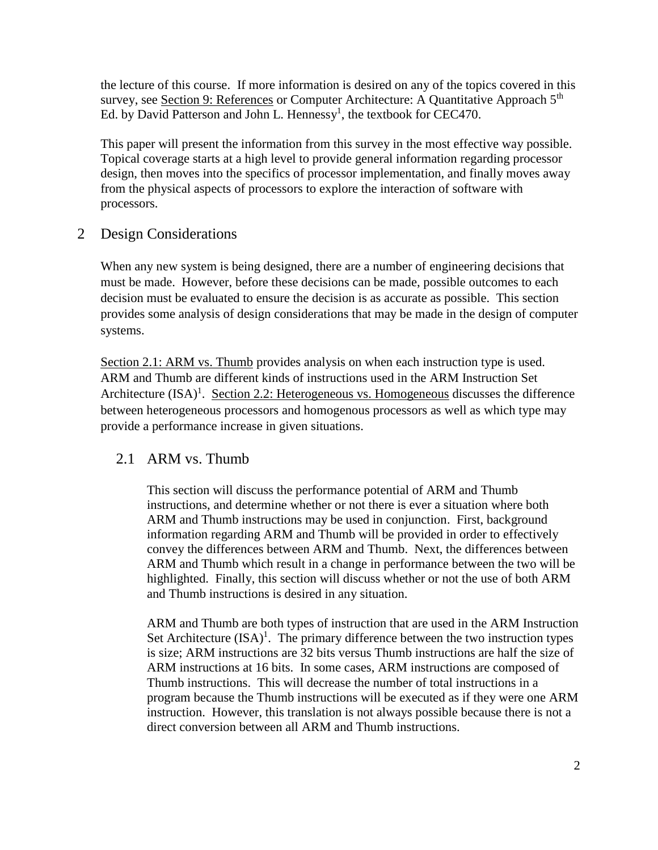the lecture of this course. If more information is desired on any of the topics covered in this survey, see <u>Section 9: References</u> or Computer Architecture: A Quantitative Approach 5<sup>th</sup> Ed. by David Patterson and John L. Hennessy<sup>1</sup>, the textbook for CEC470.

This paper will present the information from this survey in the most effective way possible. Topical coverage starts at a high level to provide general information regarding processor design, then moves into the specifics of processor implementation, and finally moves away from the physical aspects of processors to explore the interaction of software with processors.

## 2 Design Considerations

When any new system is being designed, there are a number of engineering decisions that must be made. However, before these decisions can be made, possible outcomes to each decision must be evaluated to ensure the decision is as accurate as possible. This section provides some analysis of design considerations that may be made in the design of computer systems.

[Section 2.1: ARM vs. Thumb](#page-2-0) provides analysis on when each instruction type is used. ARM and Thumb are different kinds of instructions used in the ARM Instruction Set Architecture  $(ISA)^1$ . [Section 2.2: Heterogeneous vs. Homogeneous](#page-3-0) discusses the difference between heterogeneous processors and homogenous processors as well as which type may provide a performance increase in given situations.

## <span id="page-2-0"></span>2.1 ARM vs. Thumb

This section will discuss the performance potential of ARM and Thumb instructions, and determine whether or not there is ever a situation where both ARM and Thumb instructions may be used in conjunction. First, background information regarding ARM and Thumb will be provided in order to effectively convey the differences between ARM and Thumb. Next, the differences between ARM and Thumb which result in a change in performance between the two will be highlighted. Finally, this section will discuss whether or not the use of both ARM and Thumb instructions is desired in any situation.

ARM and Thumb are both types of instruction that are used in the ARM Instruction Set Architecture  $(ISA)^1$ . The primary difference between the two instruction types is size; ARM instructions are 32 bits versus Thumb instructions are half the size of ARM instructions at 16 bits. In some cases, ARM instructions are composed of Thumb instructions. This will decrease the number of total instructions in a program because the Thumb instructions will be executed as if they were one ARM instruction. However, this translation is not always possible because there is not a direct conversion between all ARM and Thumb instructions.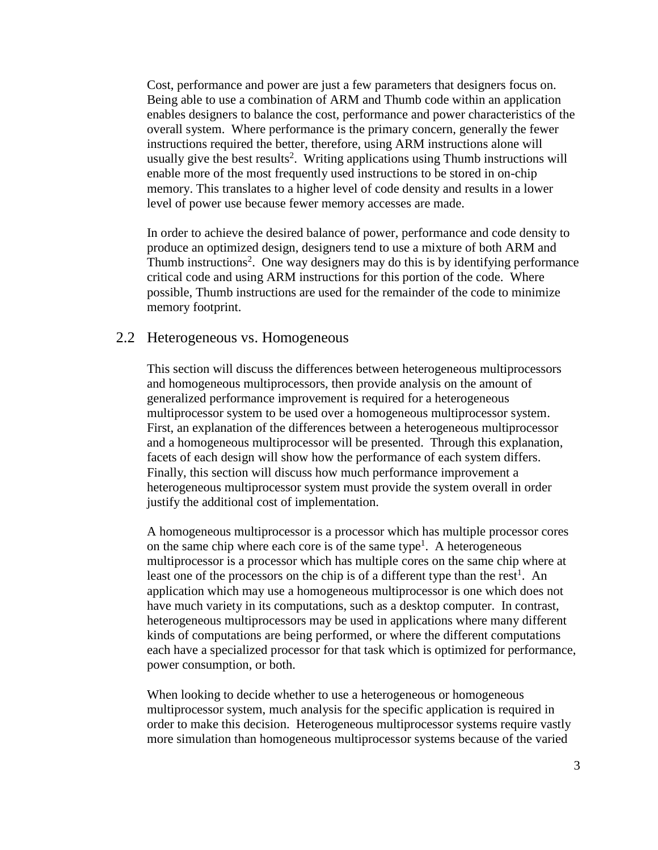Cost, performance and power are just a few parameters that designers focus on. Being able to use a combination of ARM and Thumb code within an application enables designers to balance the cost, performance and power characteristics of the overall system. Where performance is the primary concern, generally the fewer instructions required the better, therefore, using ARM instructions alone will usually give the best results<sup>2</sup>. Writing applications using Thumb instructions will enable more of the most frequently used instructions to be stored in on-chip memory. This translates to a higher level of code density and results in a lower level of power use because fewer memory accesses are made.

In order to achieve the desired balance of power, performance and code density to produce an optimized design, designers tend to use a mixture of both ARM and Thumb instructions<sup>2</sup>. One way designers may do this is by identifying performance critical code and using ARM instructions for this portion of the code. Where possible, Thumb instructions are used for the remainder of the code to minimize memory footprint.

#### <span id="page-3-0"></span>2.2 Heterogeneous vs. Homogeneous

This section will discuss the differences between heterogeneous multiprocessors and homogeneous multiprocessors, then provide analysis on the amount of generalized performance improvement is required for a heterogeneous multiprocessor system to be used over a homogeneous multiprocessor system. First, an explanation of the differences between a heterogeneous multiprocessor and a homogeneous multiprocessor will be presented. Through this explanation, facets of each design will show how the performance of each system differs. Finally, this section will discuss how much performance improvement a heterogeneous multiprocessor system must provide the system overall in order justify the additional cost of implementation.

A homogeneous multiprocessor is a processor which has multiple processor cores on the same chip where each core is of the same type<sup>1</sup>. A heterogeneous multiprocessor is a processor which has multiple cores on the same chip where at least one of the processors on the chip is of a different type than the rest<sup>1</sup>. An application which may use a homogeneous multiprocessor is one which does not have much variety in its computations, such as a desktop computer. In contrast, heterogeneous multiprocessors may be used in applications where many different kinds of computations are being performed, or where the different computations each have a specialized processor for that task which is optimized for performance, power consumption, or both.

When looking to decide whether to use a heterogeneous or homogeneous multiprocessor system, much analysis for the specific application is required in order to make this decision. Heterogeneous multiprocessor systems require vastly more simulation than homogeneous multiprocessor systems because of the varied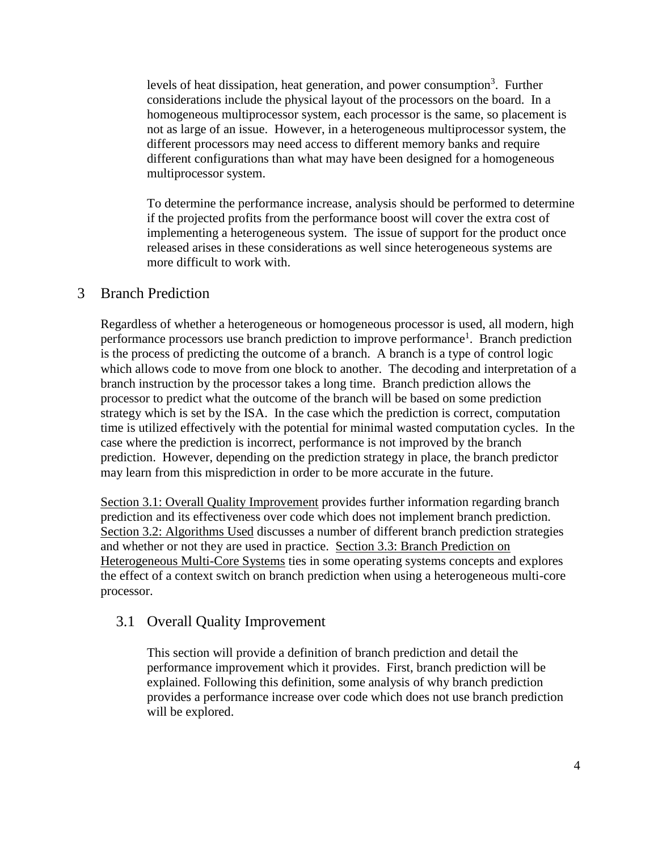levels of heat dissipation, heat generation, and power consumption<sup>3</sup>. Further considerations include the physical layout of the processors on the board. In a homogeneous multiprocessor system, each processor is the same, so placement is not as large of an issue. However, in a heterogeneous multiprocessor system, the different processors may need access to different memory banks and require different configurations than what may have been designed for a homogeneous multiprocessor system.

To determine the performance increase, analysis should be performed to determine if the projected profits from the performance boost will cover the extra cost of implementing a heterogeneous system. The issue of support for the product once released arises in these considerations as well since heterogeneous systems are more difficult to work with.

## 3 Branch Prediction

Regardless of whether a heterogeneous or homogeneous processor is used, all modern, high performance processors use branch prediction to improve performance<sup>1</sup>. Branch prediction is the process of predicting the outcome of a branch. A branch is a type of control logic which allows code to move from one block to another. The decoding and interpretation of a branch instruction by the processor takes a long time. Branch prediction allows the processor to predict what the outcome of the branch will be based on some prediction strategy which is set by the ISA. In the case which the prediction is correct, computation time is utilized effectively with the potential for minimal wasted computation cycles. In the case where the prediction is incorrect, performance is not improved by the branch prediction. However, depending on the prediction strategy in place, the branch predictor may learn from this misprediction in order to be more accurate in the future.

[Section 3.1: Overall Quality Improvement](#page-4-0) provides further information regarding branch prediction and its effectiveness over code which does not implement branch prediction. [Section 3.2: Algorithms Used](#page-5-0) discusses a number of different branch prediction strategies and whether or not they are used in practice. [Section 3.3: Branch Prediction](#page-7-0) on [Heterogeneous Multi-Core Systems](#page-7-0) ties in some operating systems concepts and explores the effect of a context switch on branch prediction when using a heterogeneous multi-core processor.

## <span id="page-4-0"></span>3.1 Overall Quality Improvement

This section will provide a definition of branch prediction and detail the performance improvement which it provides. First, branch prediction will be explained. Following this definition, some analysis of why branch prediction provides a performance increase over code which does not use branch prediction will be explored.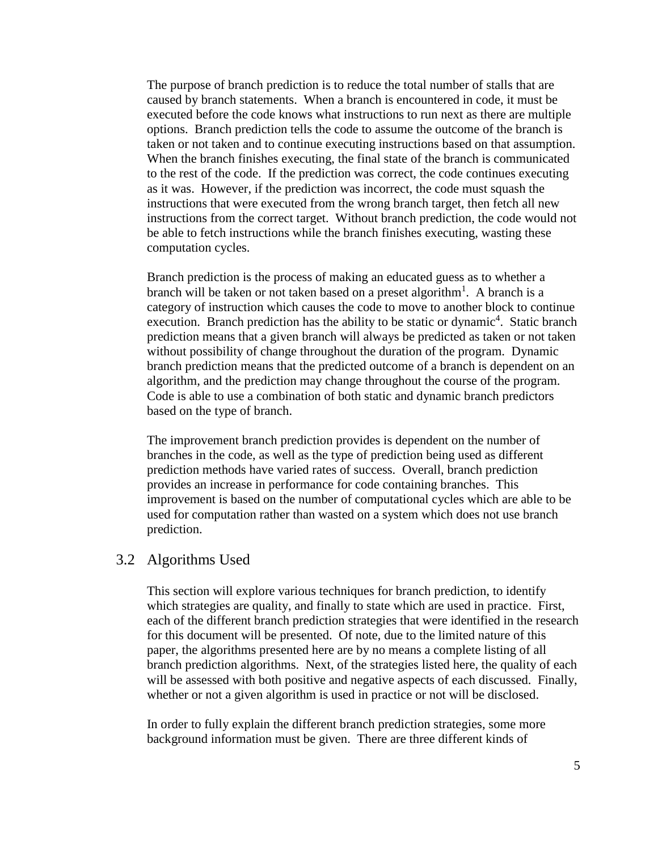The purpose of branch prediction is to reduce the total number of stalls that are caused by branch statements. When a branch is encountered in code, it must be executed before the code knows what instructions to run next as there are multiple options. Branch prediction tells the code to assume the outcome of the branch is taken or not taken and to continue executing instructions based on that assumption. When the branch finishes executing, the final state of the branch is communicated to the rest of the code. If the prediction was correct, the code continues executing as it was. However, if the prediction was incorrect, the code must squash the instructions that were executed from the wrong branch target, then fetch all new instructions from the correct target. Without branch prediction, the code would not be able to fetch instructions while the branch finishes executing, wasting these computation cycles.

Branch prediction is the process of making an educated guess as to whether a branch will be taken or not taken based on a preset algorithm<sup>1</sup>. A branch is a category of instruction which causes the code to move to another block to continue execution. Branch prediction has the ability to be static or dynamic<sup>4</sup>. Static branch prediction means that a given branch will always be predicted as taken or not taken without possibility of change throughout the duration of the program. Dynamic branch prediction means that the predicted outcome of a branch is dependent on an algorithm, and the prediction may change throughout the course of the program. Code is able to use a combination of both static and dynamic branch predictors based on the type of branch.

The improvement branch prediction provides is dependent on the number of branches in the code, as well as the type of prediction being used as different prediction methods have varied rates of success. Overall, branch prediction provides an increase in performance for code containing branches. This improvement is based on the number of computational cycles which are able to be used for computation rather than wasted on a system which does not use branch prediction.

#### <span id="page-5-0"></span>3.2 Algorithms Used

This section will explore various techniques for branch prediction, to identify which strategies are quality, and finally to state which are used in practice. First, each of the different branch prediction strategies that were identified in the research for this document will be presented. Of note, due to the limited nature of this paper, the algorithms presented here are by no means a complete listing of all branch prediction algorithms. Next, of the strategies listed here, the quality of each will be assessed with both positive and negative aspects of each discussed. Finally, whether or not a given algorithm is used in practice or not will be disclosed.

In order to fully explain the different branch prediction strategies, some more background information must be given. There are three different kinds of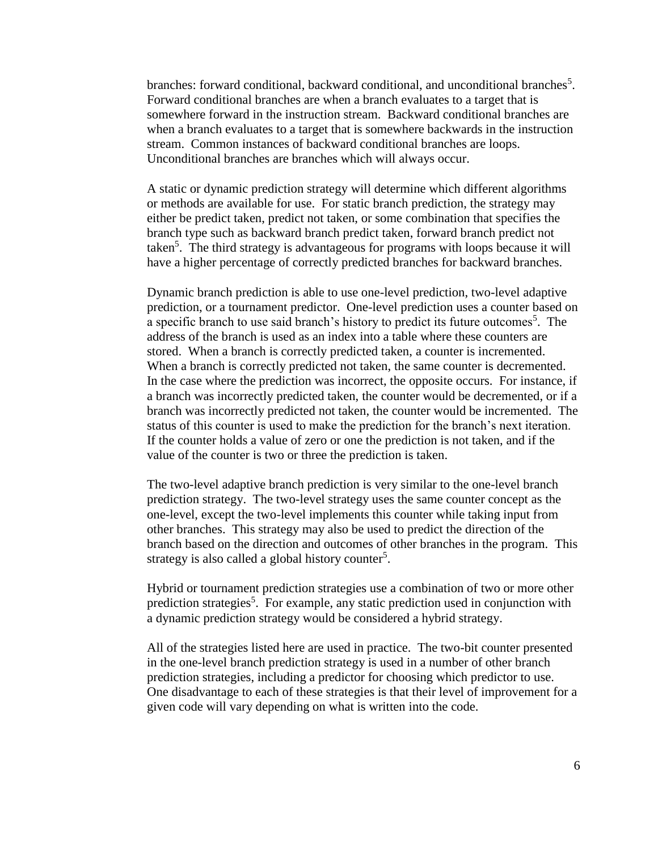branches: forward conditional, backward conditional, and unconditional branches<sup>5</sup>. Forward conditional branches are when a branch evaluates to a target that is somewhere forward in the instruction stream. Backward conditional branches are when a branch evaluates to a target that is somewhere backwards in the instruction stream. Common instances of backward conditional branches are loops. Unconditional branches are branches which will always occur.

A static or dynamic prediction strategy will determine which different algorithms or methods are available for use. For static branch prediction, the strategy may either be predict taken, predict not taken, or some combination that specifies the branch type such as backward branch predict taken, forward branch predict not taken<sup>5</sup>. The third strategy is advantageous for programs with loops because it will have a higher percentage of correctly predicted branches for backward branches.

Dynamic branch prediction is able to use one-level prediction, two-level adaptive prediction, or a tournament predictor. One-level prediction uses a counter based on a specific branch to use said branch's history to predict its future outcomes<sup>5</sup>. The address of the branch is used as an index into a table where these counters are stored. When a branch is correctly predicted taken, a counter is incremented. When a branch is correctly predicted not taken, the same counter is decremented. In the case where the prediction was incorrect, the opposite occurs. For instance, if a branch was incorrectly predicted taken, the counter would be decremented, or if a branch was incorrectly predicted not taken, the counter would be incremented. The status of this counter is used to make the prediction for the branch's next iteration. If the counter holds a value of zero or one the prediction is not taken, and if the value of the counter is two or three the prediction is taken.

The two-level adaptive branch prediction is very similar to the one-level branch prediction strategy. The two-level strategy uses the same counter concept as the one-level, except the two-level implements this counter while taking input from other branches. This strategy may also be used to predict the direction of the branch based on the direction and outcomes of other branches in the program. This strategy is also called a global history counter<sup>5</sup>.

Hybrid or tournament prediction strategies use a combination of two or more other prediction strategies<sup>5</sup>. For example, any static prediction used in conjunction with a dynamic prediction strategy would be considered a hybrid strategy.

All of the strategies listed here are used in practice. The two-bit counter presented in the one-level branch prediction strategy is used in a number of other branch prediction strategies, including a predictor for choosing which predictor to use. One disadvantage to each of these strategies is that their level of improvement for a given code will vary depending on what is written into the code.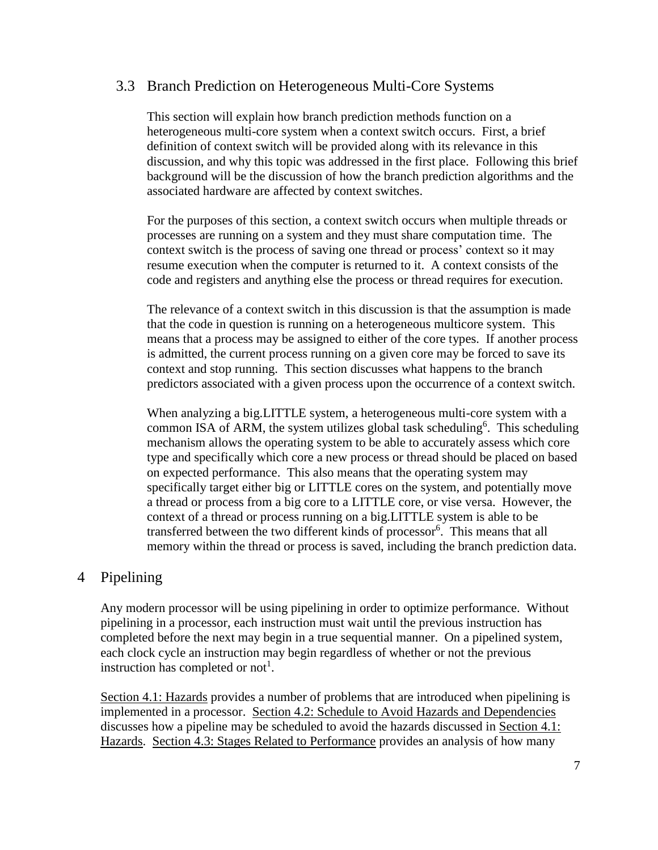## <span id="page-7-0"></span>3.3 Branch Prediction on Heterogeneous Multi-Core Systems

This section will explain how branch prediction methods function on a heterogeneous multi-core system when a context switch occurs. First, a brief definition of context switch will be provided along with its relevance in this discussion, and why this topic was addressed in the first place. Following this brief background will be the discussion of how the branch prediction algorithms and the associated hardware are affected by context switches.

For the purposes of this section, a context switch occurs when multiple threads or processes are running on a system and they must share computation time. The context switch is the process of saving one thread or process' context so it may resume execution when the computer is returned to it. A context consists of the code and registers and anything else the process or thread requires for execution.

The relevance of a context switch in this discussion is that the assumption is made that the code in question is running on a heterogeneous multicore system. This means that a process may be assigned to either of the core types. If another process is admitted, the current process running on a given core may be forced to save its context and stop running. This section discusses what happens to the branch predictors associated with a given process upon the occurrence of a context switch.

When analyzing a big.LITTLE system, a heterogeneous multi-core system with a common ISA of ARM, the system utilizes global task scheduling<sup>6</sup>. This scheduling mechanism allows the operating system to be able to accurately assess which core type and specifically which core a new process or thread should be placed on based on expected performance. This also means that the operating system may specifically target either big or LITTLE cores on the system, and potentially move a thread or process from a big core to a LITTLE core, or vise versa. However, the context of a thread or process running on a big.LITTLE system is able to be transferred between the two different kinds of processor<sup>6</sup> . This means that all memory within the thread or process is saved, including the branch prediction data.

## 4 Pipelining

Any modern processor will be using pipelining in order to optimize performance. Without pipelining in a processor, each instruction must wait until the previous instruction has completed before the next may begin in a true sequential manner. On a pipelined system, each clock cycle an instruction may begin regardless of whether or not the previous instruction has completed or not<sup>1</sup>.

[Section 4.1: Hazards](#page-8-0) provides a number of problems that are introduced when pipelining is implemented in a processor. [Section 4.2: Schedule to Avoid Hazards and Dependencies](#page-9-0) discusses how a pipeline may be scheduled to avoid the hazards discussed in [Section 4.1:](#page-8-0)  [Hazards.](#page-8-0) [Section 4.3: Stages Related to Performance](#page-10-0) provides an analysis of how many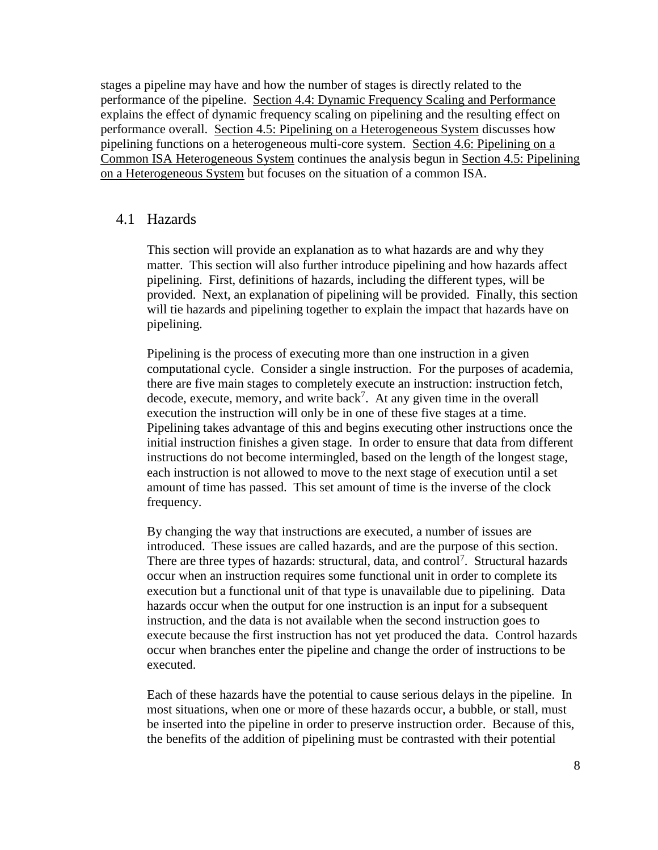stages a pipeline may have and how the number of stages is directly related to the performance of the pipeline. [Section 4.4: Dynamic Frequency Scaling and Performance](#page-10-1) explains the effect of dynamic frequency scaling on pipelining and the resulting effect on performance overall. [Section 4.5: Pipelining on a Heterogeneous System](#page-11-0) discusses how pipelining functions on a heterogeneous multi-core system. [Section 4.6: Pipelining on a](#page-12-0)  [Common ISA Heterogeneous System](#page-12-0) continues the analysis begun in [Section 4.5: Pipelining](#page-11-0)  [on a Heterogeneous System](#page-11-0) but focuses on the situation of a common ISA.

#### <span id="page-8-0"></span>4.1 Hazards

This section will provide an explanation as to what hazards are and why they matter. This section will also further introduce pipelining and how hazards affect pipelining. First, definitions of hazards, including the different types, will be provided. Next, an explanation of pipelining will be provided. Finally, this section will tie hazards and pipelining together to explain the impact that hazards have on pipelining.

Pipelining is the process of executing more than one instruction in a given computational cycle. Consider a single instruction. For the purposes of academia, there are five main stages to completely execute an instruction: instruction fetch, decode, execute, memory, and write  $back<sup>7</sup>$ . At any given time in the overall execution the instruction will only be in one of these five stages at a time. Pipelining takes advantage of this and begins executing other instructions once the initial instruction finishes a given stage. In order to ensure that data from different instructions do not become intermingled, based on the length of the longest stage, each instruction is not allowed to move to the next stage of execution until a set amount of time has passed. This set amount of time is the inverse of the clock frequency.

By changing the way that instructions are executed, a number of issues are introduced. These issues are called hazards, and are the purpose of this section. There are three types of hazards: structural, data, and control<sup>7</sup>. Structural hazards occur when an instruction requires some functional unit in order to complete its execution but a functional unit of that type is unavailable due to pipelining. Data hazards occur when the output for one instruction is an input for a subsequent instruction, and the data is not available when the second instruction goes to execute because the first instruction has not yet produced the data. Control hazards occur when branches enter the pipeline and change the order of instructions to be executed.

Each of these hazards have the potential to cause serious delays in the pipeline. In most situations, when one or more of these hazards occur, a bubble, or stall, must be inserted into the pipeline in order to preserve instruction order. Because of this, the benefits of the addition of pipelining must be contrasted with their potential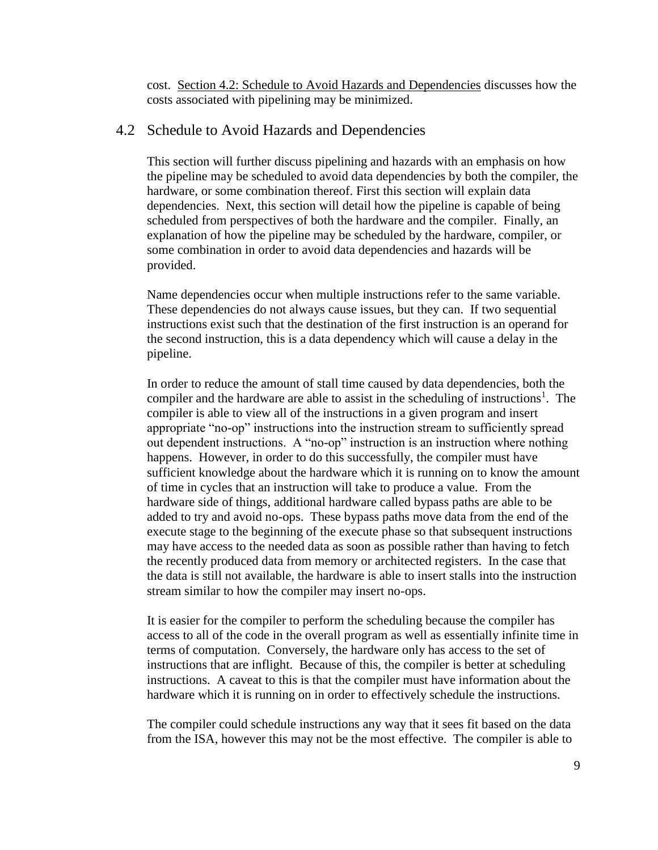cost. [Section 4.2: Schedule to Avoid Hazards and Dependencies](#page-9-0) discusses how the costs associated with pipelining may be minimized.

#### <span id="page-9-0"></span>4.2 Schedule to Avoid Hazards and Dependencies

This section will further discuss pipelining and hazards with an emphasis on how the pipeline may be scheduled to avoid data dependencies by both the compiler, the hardware, or some combination thereof. First this section will explain data dependencies. Next, this section will detail how the pipeline is capable of being scheduled from perspectives of both the hardware and the compiler. Finally, an explanation of how the pipeline may be scheduled by the hardware, compiler, or some combination in order to avoid data dependencies and hazards will be provided.

Name dependencies occur when multiple instructions refer to the same variable. These dependencies do not always cause issues, but they can. If two sequential instructions exist such that the destination of the first instruction is an operand for the second instruction, this is a data dependency which will cause a delay in the pipeline.

In order to reduce the amount of stall time caused by data dependencies, both the compiler and the hardware are able to assist in the scheduling of instructions<sup>1</sup>. The compiler is able to view all of the instructions in a given program and insert appropriate "no-op" instructions into the instruction stream to sufficiently spread out dependent instructions. A "no-op" instruction is an instruction where nothing happens. However, in order to do this successfully, the compiler must have sufficient knowledge about the hardware which it is running on to know the amount of time in cycles that an instruction will take to produce a value. From the hardware side of things, additional hardware called bypass paths are able to be added to try and avoid no-ops. These bypass paths move data from the end of the execute stage to the beginning of the execute phase so that subsequent instructions may have access to the needed data as soon as possible rather than having to fetch the recently produced data from memory or architected registers. In the case that the data is still not available, the hardware is able to insert stalls into the instruction stream similar to how the compiler may insert no-ops.

It is easier for the compiler to perform the scheduling because the compiler has access to all of the code in the overall program as well as essentially infinite time in terms of computation. Conversely, the hardware only has access to the set of instructions that are inflight. Because of this, the compiler is better at scheduling instructions. A caveat to this is that the compiler must have information about the hardware which it is running on in order to effectively schedule the instructions.

The compiler could schedule instructions any way that it sees fit based on the data from the ISA, however this may not be the most effective. The compiler is able to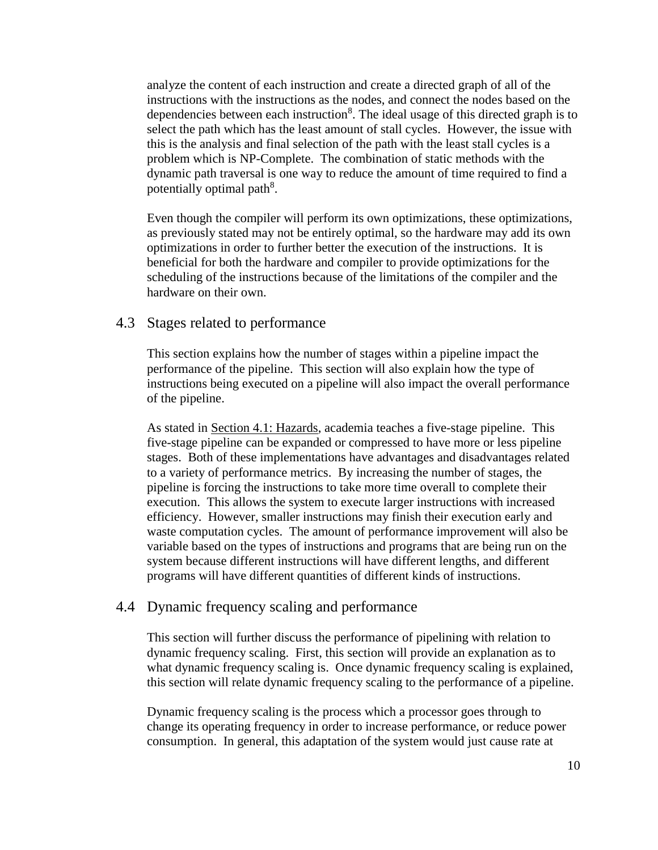analyze the content of each instruction and create a directed graph of all of the instructions with the instructions as the nodes, and connect the nodes based on the dependencies between each instruction<sup>8</sup>. The ideal usage of this directed graph is to select the path which has the least amount of stall cycles. However, the issue with this is the analysis and final selection of the path with the least stall cycles is a problem which is NP-Complete. The combination of static methods with the dynamic path traversal is one way to reduce the amount of time required to find a potentially optimal path<sup>8</sup>.

Even though the compiler will perform its own optimizations, these optimizations, as previously stated may not be entirely optimal, so the hardware may add its own optimizations in order to further better the execution of the instructions. It is beneficial for both the hardware and compiler to provide optimizations for the scheduling of the instructions because of the limitations of the compiler and the hardware on their own.

#### <span id="page-10-0"></span>4.3 Stages related to performance

This section explains how the number of stages within a pipeline impact the performance of the pipeline. This section will also explain how the type of instructions being executed on a pipeline will also impact the overall performance of the pipeline.

As stated in [Section 4.1: Hazards,](#page-8-0) academia teaches a five-stage pipeline. This five-stage pipeline can be expanded or compressed to have more or less pipeline stages. Both of these implementations have advantages and disadvantages related to a variety of performance metrics. By increasing the number of stages, the pipeline is forcing the instructions to take more time overall to complete their execution. This allows the system to execute larger instructions with increased efficiency. However, smaller instructions may finish their execution early and waste computation cycles. The amount of performance improvement will also be variable based on the types of instructions and programs that are being run on the system because different instructions will have different lengths, and different programs will have different quantities of different kinds of instructions.

#### <span id="page-10-1"></span>4.4 Dynamic frequency scaling and performance

This section will further discuss the performance of pipelining with relation to dynamic frequency scaling. First, this section will provide an explanation as to what dynamic frequency scaling is. Once dynamic frequency scaling is explained, this section will relate dynamic frequency scaling to the performance of a pipeline.

Dynamic frequency scaling is the process which a processor goes through to change its operating frequency in order to increase performance, or reduce power consumption. In general, this adaptation of the system would just cause rate at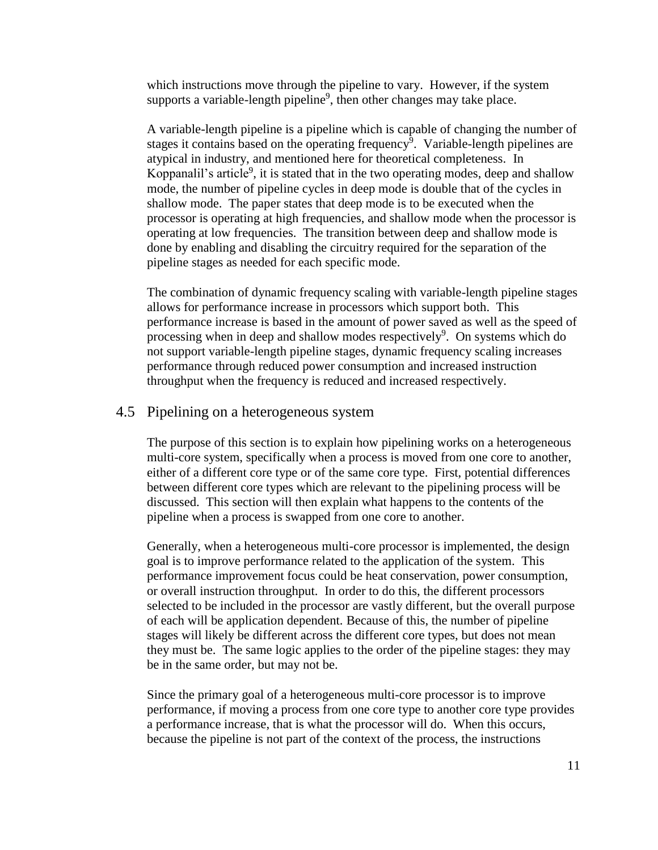which instructions move through the pipeline to vary. However, if the system supports a variable-length pipeline<sup>9</sup>, then other changes may take place.

A variable-length pipeline is a pipeline which is capable of changing the number of stages it contains based on the operating frequency<sup> $\overline{9}$ </sup>. Variable-length pipelines are atypical in industry, and mentioned here for theoretical completeness. In Koppanalil's article<sup>9</sup>, it is stated that in the two operating modes, deep and shallow mode, the number of pipeline cycles in deep mode is double that of the cycles in shallow mode. The paper states that deep mode is to be executed when the processor is operating at high frequencies, and shallow mode when the processor is operating at low frequencies. The transition between deep and shallow mode is done by enabling and disabling the circuitry required for the separation of the pipeline stages as needed for each specific mode.

The combination of dynamic frequency scaling with variable-length pipeline stages allows for performance increase in processors which support both. This performance increase is based in the amount of power saved as well as the speed of processing when in deep and shallow modes respectively<sup>9</sup>. On systems which do not support variable-length pipeline stages, dynamic frequency scaling increases performance through reduced power consumption and increased instruction throughput when the frequency is reduced and increased respectively.

#### <span id="page-11-0"></span>4.5 Pipelining on a heterogeneous system

The purpose of this section is to explain how pipelining works on a heterogeneous multi-core system, specifically when a process is moved from one core to another, either of a different core type or of the same core type. First, potential differences between different core types which are relevant to the pipelining process will be discussed. This section will then explain what happens to the contents of the pipeline when a process is swapped from one core to another.

Generally, when a heterogeneous multi-core processor is implemented, the design goal is to improve performance related to the application of the system. This performance improvement focus could be heat conservation, power consumption, or overall instruction throughput. In order to do this, the different processors selected to be included in the processor are vastly different, but the overall purpose of each will be application dependent. Because of this, the number of pipeline stages will likely be different across the different core types, but does not mean they must be. The same logic applies to the order of the pipeline stages: they may be in the same order, but may not be.

Since the primary goal of a heterogeneous multi-core processor is to improve performance, if moving a process from one core type to another core type provides a performance increase, that is what the processor will do. When this occurs, because the pipeline is not part of the context of the process, the instructions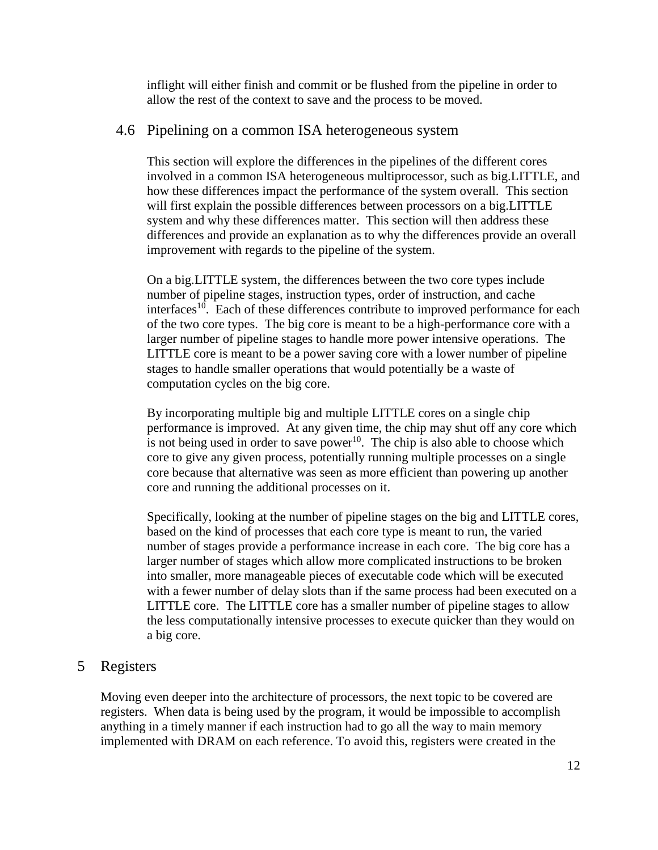inflight will either finish and commit or be flushed from the pipeline in order to allow the rest of the context to save and the process to be moved.

## <span id="page-12-0"></span>4.6 Pipelining on a common ISA heterogeneous system

This section will explore the differences in the pipelines of the different cores involved in a common ISA heterogeneous multiprocessor, such as big.LITTLE, and how these differences impact the performance of the system overall. This section will first explain the possible differences between processors on a big.LITTLE system and why these differences matter. This section will then address these differences and provide an explanation as to why the differences provide an overall improvement with regards to the pipeline of the system.

On a big.LITTLE system, the differences between the two core types include number of pipeline stages, instruction types, order of instruction, and cache interfaces<sup>10</sup>. Each of these differences contribute to improved performance for each of the two core types. The big core is meant to be a high-performance core with a larger number of pipeline stages to handle more power intensive operations. The LITTLE core is meant to be a power saving core with a lower number of pipeline stages to handle smaller operations that would potentially be a waste of computation cycles on the big core.

By incorporating multiple big and multiple LITTLE cores on a single chip performance is improved. At any given time, the chip may shut off any core which is not being used in order to save power<sup>10</sup>. The chip is also able to choose which core to give any given process, potentially running multiple processes on a single core because that alternative was seen as more efficient than powering up another core and running the additional processes on it.

Specifically, looking at the number of pipeline stages on the big and LITTLE cores, based on the kind of processes that each core type is meant to run, the varied number of stages provide a performance increase in each core. The big core has a larger number of stages which allow more complicated instructions to be broken into smaller, more manageable pieces of executable code which will be executed with a fewer number of delay slots than if the same process had been executed on a LITTLE core. The LITTLE core has a smaller number of pipeline stages to allow the less computationally intensive processes to execute quicker than they would on a big core.

## <span id="page-12-1"></span>5 Registers

Moving even deeper into the architecture of processors, the next topic to be covered are registers. When data is being used by the program, it would be impossible to accomplish anything in a timely manner if each instruction had to go all the way to main memory implemented with DRAM on each reference. To avoid this, registers were created in the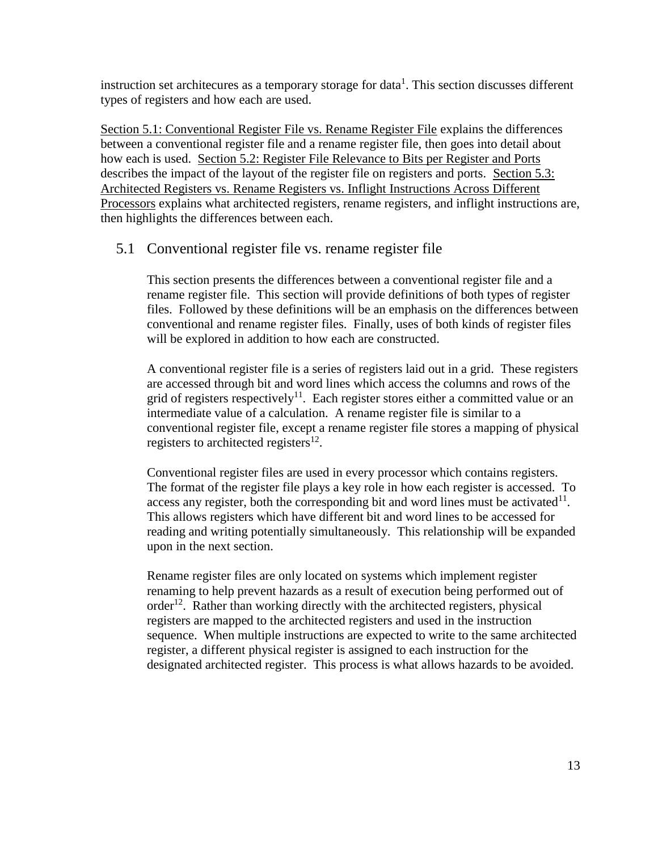instruction set architecures as a temporary storage for data<sup>1</sup>. This section discusses different types of registers and how each are used.

[Section 5.1: Conventional Register File vs. Rename Register File](#page-13-0) explains the differences between a conventional register file and a rename register file, then goes into detail about how each is used. [Section 5.2: Register File Relevance to Bits per Register and Ports](#page-14-0) describes the impact of the layout of the register file on registers and ports. [Section 5.3:](#page-14-1)  [Architected Registers vs. Rename Registers vs. Inflight Instructions Across Different](#page-14-1)  [Processors](#page-14-1) explains what architected registers, rename registers, and inflight instructions are, then highlights the differences between each.

## <span id="page-13-0"></span>5.1 Conventional register file vs. rename register file

This section presents the differences between a conventional register file and a rename register file. This section will provide definitions of both types of register files. Followed by these definitions will be an emphasis on the differences between conventional and rename register files. Finally, uses of both kinds of register files will be explored in addition to how each are constructed.

A conventional register file is a series of registers laid out in a grid. These registers are accessed through bit and word lines which access the columns and rows of the grid of registers respectively<sup>11</sup>. Each register stores either a committed value or an intermediate value of a calculation. A rename register file is similar to a conventional register file, except a rename register file stores a mapping of physical registers to architected registers $^{12}$ .

Conventional register files are used in every processor which contains registers. The format of the register file plays a key role in how each register is accessed. To access any register, both the corresponding bit and word lines must be activated $11$ . This allows registers which have different bit and word lines to be accessed for reading and writing potentially simultaneously. This relationship will be expanded upon in the next section.

Rename register files are only located on systems which implement register renaming to help prevent hazards as a result of execution being performed out of order<sup>12</sup>. Rather than working directly with the architected registers, physical registers are mapped to the architected registers and used in the instruction sequence. When multiple instructions are expected to write to the same architected register, a different physical register is assigned to each instruction for the designated architected register. This process is what allows hazards to be avoided.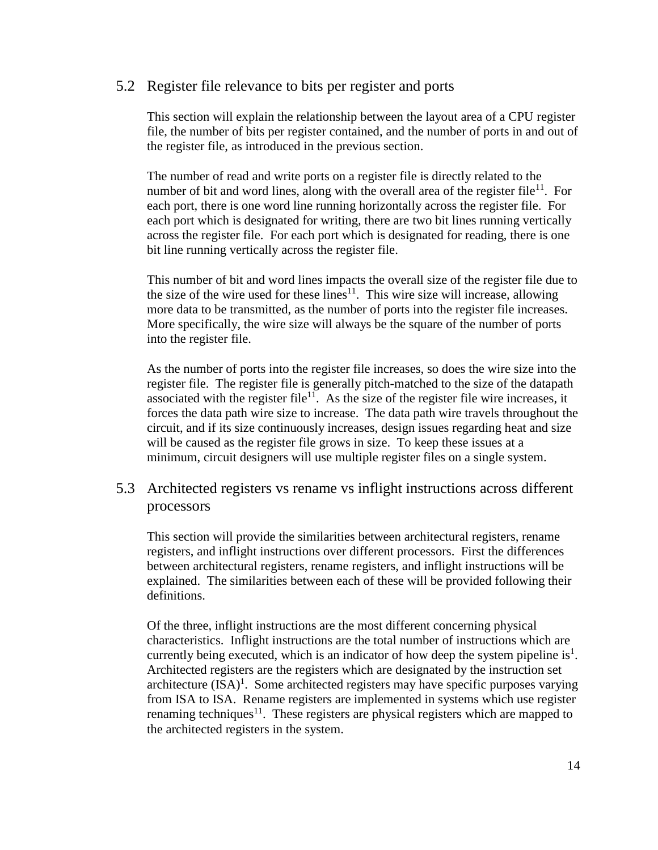## <span id="page-14-0"></span>5.2 Register file relevance to bits per register and ports

This section will explain the relationship between the layout area of a CPU register file, the number of bits per register contained, and the number of ports in and out of the register file, as introduced in the previous section.

The number of read and write ports on a register file is directly related to the number of bit and word lines, along with the overall area of the register file<sup>11</sup>. For each port, there is one word line running horizontally across the register file. For each port which is designated for writing, there are two bit lines running vertically across the register file. For each port which is designated for reading, there is one bit line running vertically across the register file.

This number of bit and word lines impacts the overall size of the register file due to the size of the wire used for these lines $11$ . This wire size will increase, allowing more data to be transmitted, as the number of ports into the register file increases. More specifically, the wire size will always be the square of the number of ports into the register file.

As the number of ports into the register file increases, so does the wire size into the register file. The register file is generally pitch-matched to the size of the datapath associated with the register file<sup>11</sup>. As the size of the register file wire increases, it forces the data path wire size to increase. The data path wire travels throughout the circuit, and if its size continuously increases, design issues regarding heat and size will be caused as the register file grows in size. To keep these issues at a minimum, circuit designers will use multiple register files on a single system.

## <span id="page-14-1"></span>5.3 Architected registers vs rename vs inflight instructions across different processors

This section will provide the similarities between architectural registers, rename registers, and inflight instructions over different processors. First the differences between architectural registers, rename registers, and inflight instructions will be explained. The similarities between each of these will be provided following their definitions.

Of the three, inflight instructions are the most different concerning physical characteristics. Inflight instructions are the total number of instructions which are currently being executed, which is an indicator of how deep the system pipeline is<sup>1</sup>. Architected registers are the registers which are designated by the instruction set architecture  $(ISA)^1$ . Some architected registers may have specific purposes varying from ISA to ISA. Rename registers are implemented in systems which use register renaming techniques<sup>11</sup>. These registers are physical registers which are mapped to the architected registers in the system.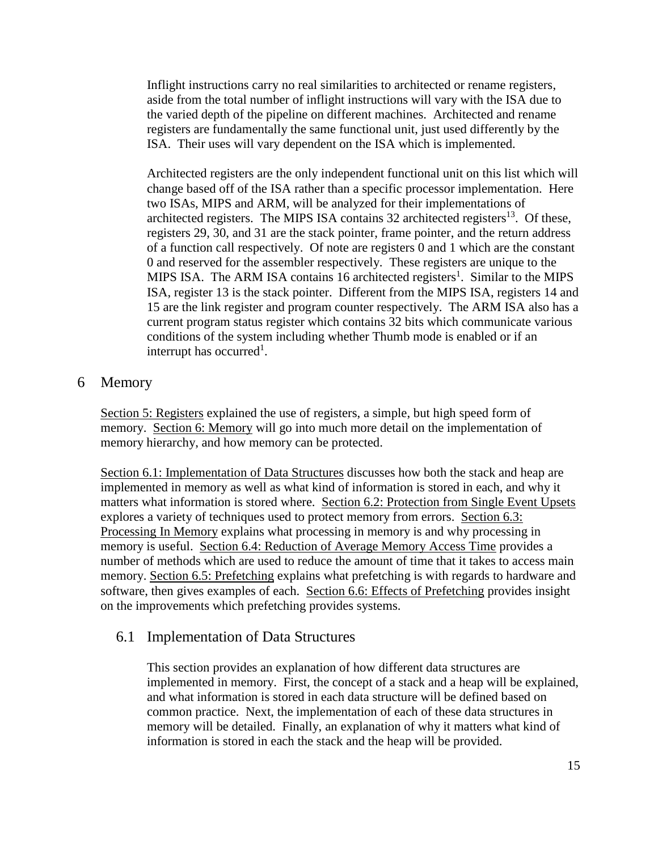Inflight instructions carry no real similarities to architected or rename registers, aside from the total number of inflight instructions will vary with the ISA due to the varied depth of the pipeline on different machines. Architected and rename registers are fundamentally the same functional unit, just used differently by the ISA. Their uses will vary dependent on the ISA which is implemented.

Architected registers are the only independent functional unit on this list which will change based off of the ISA rather than a specific processor implementation. Here two ISAs, MIPS and ARM, will be analyzed for their implementations of architected registers. The MIPS ISA contains  $32$  architected registers<sup>13</sup>. Of these, registers 29, 30, and 31 are the stack pointer, frame pointer, and the return address of a function call respectively. Of note are registers 0 and 1 which are the constant 0 and reserved for the assembler respectively. These registers are unique to the MIPS ISA. The ARM ISA contains 16 architected registers<sup>1</sup>. Similar to the MIPS ISA, register 13 is the stack pointer. Different from the MIPS ISA, registers 14 and 15 are the link register and program counter respectively. The ARM ISA also has a current program status register which contains 32 bits which communicate various conditions of the system including whether Thumb mode is enabled or if an interrupt has occurred<sup>1</sup>.

## <span id="page-15-0"></span>6 Memory

[Section 5: Registers](#page-12-1) explained the use of registers, a simple, but high speed form of memory. [Section 6: Memory](#page-15-0) will go into much more detail on the implementation of memory hierarchy, and how memory can be protected.

[Section 6.1: Implementation of Data Structures](#page-15-1) discusses how both the stack and heap are implemented in memory as well as what kind of information is stored in each, and why it matters what information is stored where. [Section 6.2: Protection from Single Event Upsets](#page-16-0) explores a variety of techniques used to protect memory from errors. [Section 6.3:](#page-17-0)  [Processing In Memory](#page-17-0) explains what processing in memory is and why processing in memory is useful. [Section 6.4: Reduction of Average Memory Access Time](#page-18-0) provides a number of methods which are used to reduce the amount of time that it takes to access main memory. [Section 6.5: Prefetching](#page-18-1) explains what prefetching is with regards to hardware and software, then gives examples of each. [Section 6.6: Effects of Prefetching](#page-19-0) provides insight on the improvements which prefetching provides systems.

## <span id="page-15-1"></span>6.1 Implementation of Data Structures

This section provides an explanation of how different data structures are implemented in memory. First, the concept of a stack and a heap will be explained, and what information is stored in each data structure will be defined based on common practice. Next, the implementation of each of these data structures in memory will be detailed. Finally, an explanation of why it matters what kind of information is stored in each the stack and the heap will be provided.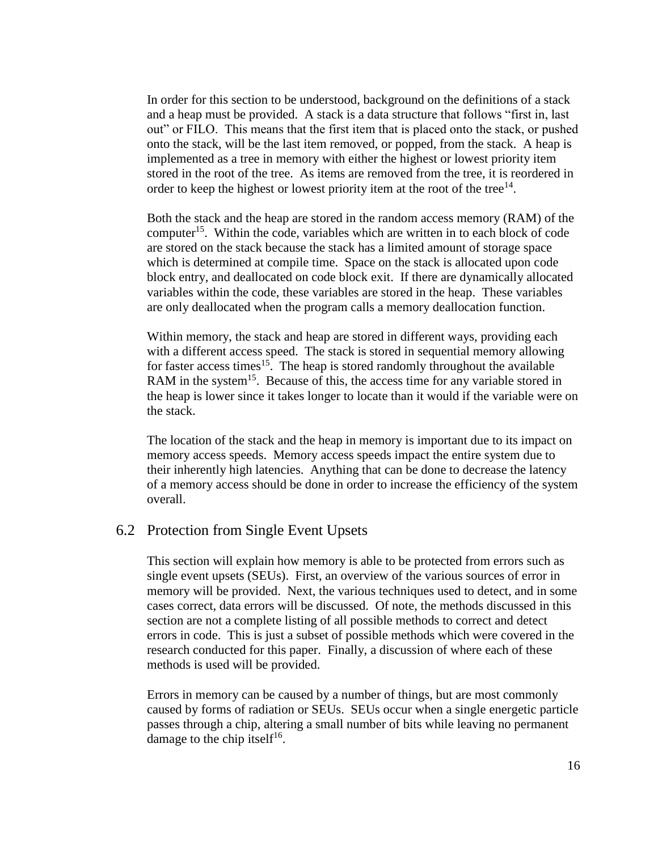In order for this section to be understood, background on the definitions of a stack and a heap must be provided. A stack is a data structure that follows "first in, last out" or FILO. This means that the first item that is placed onto the stack, or pushed onto the stack, will be the last item removed, or popped, from the stack. A heap is implemented as a tree in memory with either the highest or lowest priority item stored in the root of the tree. As items are removed from the tree, it is reordered in order to keep the highest or lowest priority item at the root of the tree $14$ .

Both the stack and the heap are stored in the random access memory (RAM) of the computer<sup>15</sup>. Within the code, variables which are written in to each block of code are stored on the stack because the stack has a limited amount of storage space which is determined at compile time. Space on the stack is allocated upon code block entry, and deallocated on code block exit. If there are dynamically allocated variables within the code, these variables are stored in the heap. These variables are only deallocated when the program calls a memory deallocation function.

Within memory, the stack and heap are stored in different ways, providing each with a different access speed. The stack is stored in sequential memory allowing for faster access times<sup>15</sup>. The heap is stored randomly throughout the available RAM in the system<sup>15</sup>. Because of this, the access time for any variable stored in the heap is lower since it takes longer to locate than it would if the variable were on the stack.

The location of the stack and the heap in memory is important due to its impact on memory access speeds. Memory access speeds impact the entire system due to their inherently high latencies. Anything that can be done to decrease the latency of a memory access should be done in order to increase the efficiency of the system overall.

#### <span id="page-16-0"></span>6.2 Protection from Single Event Upsets

This section will explain how memory is able to be protected from errors such as single event upsets (SEUs). First, an overview of the various sources of error in memory will be provided. Next, the various techniques used to detect, and in some cases correct, data errors will be discussed. Of note, the methods discussed in this section are not a complete listing of all possible methods to correct and detect errors in code. This is just a subset of possible methods which were covered in the research conducted for this paper. Finally, a discussion of where each of these methods is used will be provided.

Errors in memory can be caused by a number of things, but are most commonly caused by forms of radiation or SEUs. SEUs occur when a single energetic particle passes through a chip, altering a small number of bits while leaving no permanent damage to the chip itself<sup>16</sup>.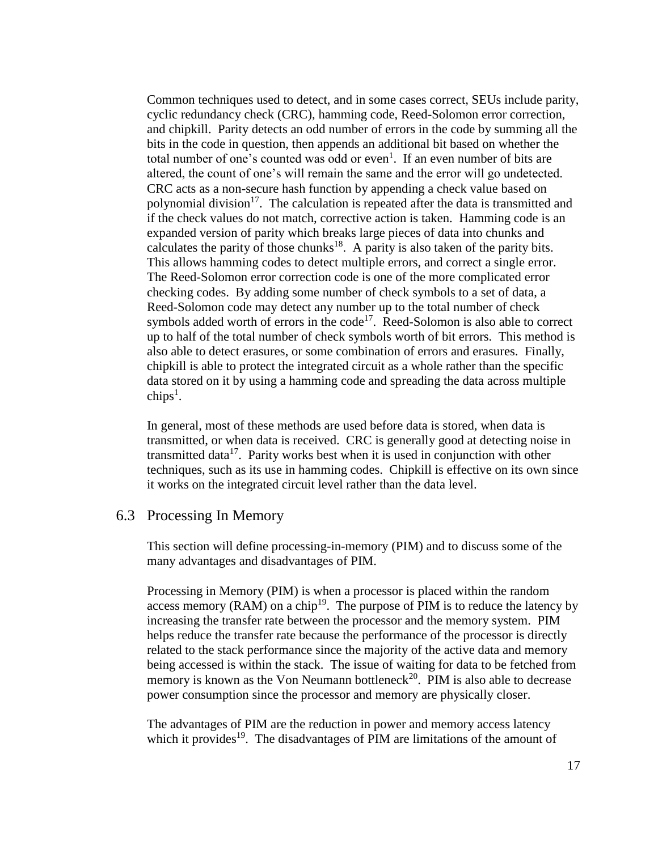Common techniques used to detect, and in some cases correct, SEUs include parity, cyclic redundancy check (CRC), hamming code, Reed-Solomon error correction, and chipkill. Parity detects an odd number of errors in the code by summing all the bits in the code in question, then appends an additional bit based on whether the total number of one's counted was odd or even<sup>1</sup>. If an even number of bits are altered, the count of one's will remain the same and the error will go undetected. CRC acts as a non-secure hash function by appending a check value based on polynomial division<sup>17</sup>. The calculation is repeated after the data is transmitted and if the check values do not match, corrective action is taken. Hamming code is an expanded version of parity which breaks large pieces of data into chunks and calculates the parity of those chunks<sup>18</sup>. A parity is also taken of the parity bits. This allows hamming codes to detect multiple errors, and correct a single error. The Reed-Solomon error correction code is one of the more complicated error checking codes. By adding some number of check symbols to a set of data, a Reed-Solomon code may detect any number up to the total number of check symbols added worth of errors in the  $code^{17}$ . Reed-Solomon is also able to correct up to half of the total number of check symbols worth of bit errors. This method is also able to detect erasures, or some combination of errors and erasures. Finally, chipkill is able to protect the integrated circuit as a whole rather than the specific data stored on it by using a hamming code and spreading the data across multiple  $\text{chips}^1$ .

In general, most of these methods are used before data is stored, when data is transmitted, or when data is received. CRC is generally good at detecting noise in transmitted data<sup>17</sup>. Parity works best when it is used in conjunction with other techniques, such as its use in hamming codes. Chipkill is effective on its own since it works on the integrated circuit level rather than the data level.

#### <span id="page-17-0"></span>6.3 Processing In Memory

This section will define processing-in-memory (PIM) and to discuss some of the many advantages and disadvantages of PIM.

Processing in Memory (PIM) is when a processor is placed within the random access memory ( $RAM$ ) on a chip<sup>19</sup>. The purpose of PIM is to reduce the latency by increasing the transfer rate between the processor and the memory system. PIM helps reduce the transfer rate because the performance of the processor is directly related to the stack performance since the majority of the active data and memory being accessed is within the stack. The issue of waiting for data to be fetched from memory is known as the Von Neumann bottleneck<sup>20</sup>. PIM is also able to decrease power consumption since the processor and memory are physically closer.

The advantages of PIM are the reduction in power and memory access latency which it provides<sup>19</sup>. The disadvantages of PIM are limitations of the amount of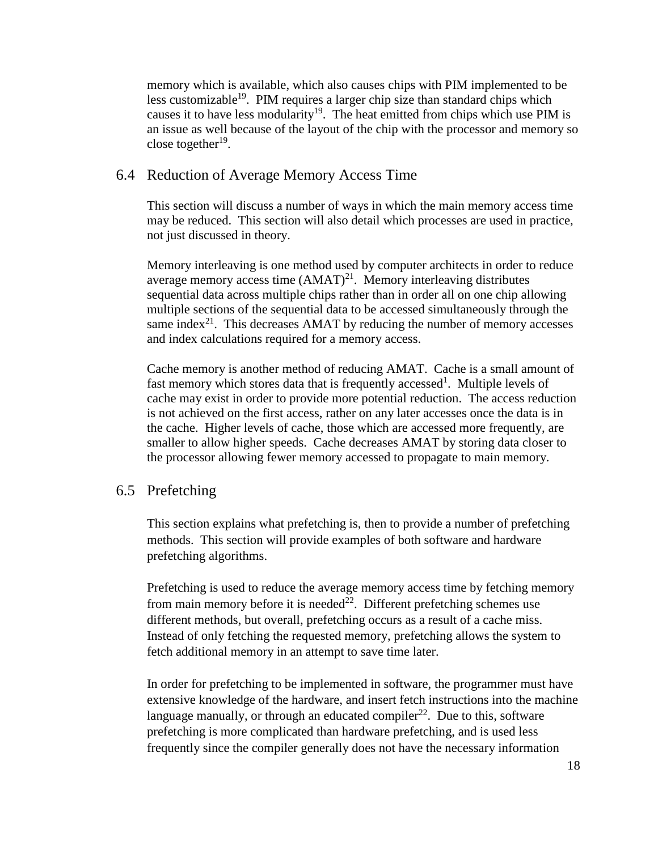memory which is available, which also causes chips with PIM implemented to be less customizable<sup>19</sup>. PIM requires a larger chip size than standard chips which causes it to have less modularity<sup>19</sup>. The heat emitted from chips which use PIM is an issue as well because of the layout of the chip with the processor and memory so close together $19$ .

#### <span id="page-18-0"></span>6.4 Reduction of Average Memory Access Time

This section will discuss a number of ways in which the main memory access time may be reduced. This section will also detail which processes are used in practice, not just discussed in theory.

Memory interleaving is one method used by computer architects in order to reduce average memory access time  $(AMAT)^{21}$ . Memory interleaving distributes sequential data across multiple chips rather than in order all on one chip allowing multiple sections of the sequential data to be accessed simultaneously through the same index $21$ . This decreases AMAT by reducing the number of memory accesses and index calculations required for a memory access.

Cache memory is another method of reducing AMAT. Cache is a small amount of fast memory which stores data that is frequently accessed<sup>1</sup>. Multiple levels of cache may exist in order to provide more potential reduction. The access reduction is not achieved on the first access, rather on any later accesses once the data is in the cache. Higher levels of cache, those which are accessed more frequently, are smaller to allow higher speeds. Cache decreases AMAT by storing data closer to the processor allowing fewer memory accessed to propagate to main memory.

#### <span id="page-18-1"></span>6.5 Prefetching

This section explains what prefetching is, then to provide a number of prefetching methods. This section will provide examples of both software and hardware prefetching algorithms.

Prefetching is used to reduce the average memory access time by fetching memory from main memory before it is needed<sup>22</sup>. Different prefetching schemes use different methods, but overall, prefetching occurs as a result of a cache miss. Instead of only fetching the requested memory, prefetching allows the system to fetch additional memory in an attempt to save time later.

In order for prefetching to be implemented in software, the programmer must have extensive knowledge of the hardware, and insert fetch instructions into the machine language manually, or through an educated compiler<sup>22</sup>. Due to this, software prefetching is more complicated than hardware prefetching, and is used less frequently since the compiler generally does not have the necessary information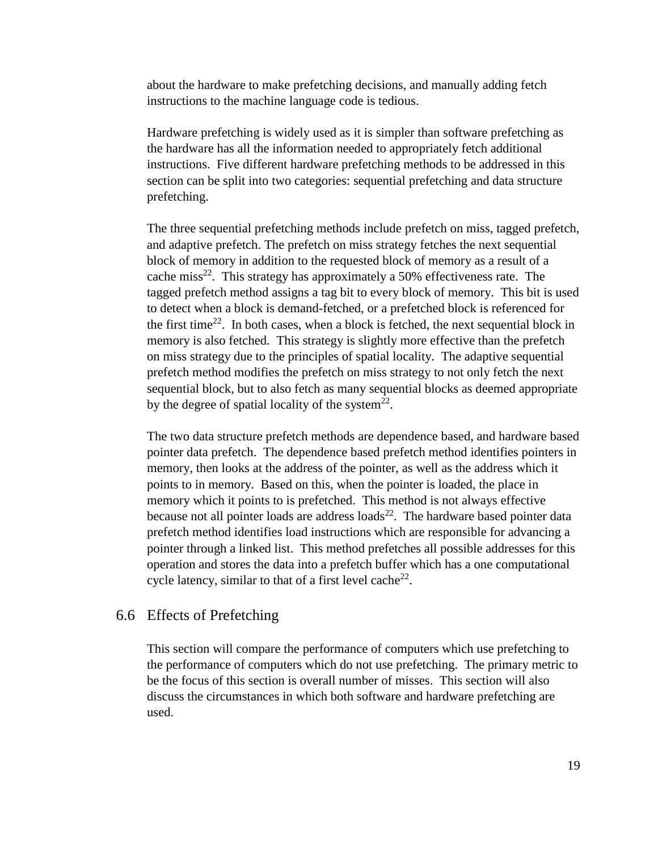about the hardware to make prefetching decisions, and manually adding fetch instructions to the machine language code is tedious.

Hardware prefetching is widely used as it is simpler than software prefetching as the hardware has all the information needed to appropriately fetch additional instructions. Five different hardware prefetching methods to be addressed in this section can be split into two categories: sequential prefetching and data structure prefetching.

The three sequential prefetching methods include prefetch on miss, tagged prefetch, and adaptive prefetch. The prefetch on miss strategy fetches the next sequential block of memory in addition to the requested block of memory as a result of a cache miss<sup>22</sup>. This strategy has approximately a 50% effectiveness rate. The tagged prefetch method assigns a tag bit to every block of memory. This bit is used to detect when a block is demand-fetched, or a prefetched block is referenced for the first time<sup>22</sup>. In both cases, when a block is fetched, the next sequential block in memory is also fetched. This strategy is slightly more effective than the prefetch on miss strategy due to the principles of spatial locality. The adaptive sequential prefetch method modifies the prefetch on miss strategy to not only fetch the next sequential block, but to also fetch as many sequential blocks as deemed appropriate by the degree of spatial locality of the system<sup>22</sup>.

The two data structure prefetch methods are dependence based, and hardware based pointer data prefetch. The dependence based prefetch method identifies pointers in memory, then looks at the address of the pointer, as well as the address which it points to in memory. Based on this, when the pointer is loaded, the place in memory which it points to is prefetched. This method is not always effective because not all pointer loads are address loads<sup>22</sup>. The hardware based pointer data prefetch method identifies load instructions which are responsible for advancing a pointer through a linked list. This method prefetches all possible addresses for this operation and stores the data into a prefetch buffer which has a one computational cycle latency, similar to that of a first level cache<sup>22</sup>.

#### <span id="page-19-0"></span>6.6 Effects of Prefetching

This section will compare the performance of computers which use prefetching to the performance of computers which do not use prefetching. The primary metric to be the focus of this section is overall number of misses. This section will also discuss the circumstances in which both software and hardware prefetching are used.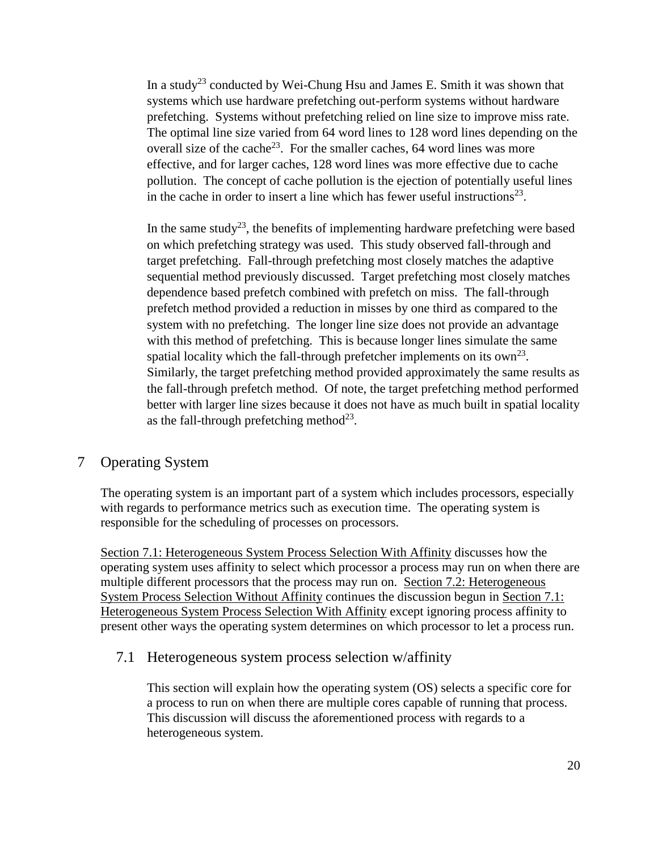In a study<sup>23</sup> conducted by Wei-Chung Hsu and James E. Smith it was shown that systems which use hardware prefetching out-perform systems without hardware prefetching. Systems without prefetching relied on line size to improve miss rate. The optimal line size varied from 64 word lines to 128 word lines depending on the overall size of the cache<sup>23</sup>. For the smaller caches, 64 word lines was more effective, and for larger caches, 128 word lines was more effective due to cache pollution. The concept of cache pollution is the ejection of potentially useful lines in the cache in order to insert a line which has fewer useful instructions<sup>23</sup>.

In the same study<sup>23</sup>, the benefits of implementing hardware prefetching were based on which prefetching strategy was used. This study observed fall-through and target prefetching. Fall-through prefetching most closely matches the adaptive sequential method previously discussed. Target prefetching most closely matches dependence based prefetch combined with prefetch on miss. The fall-through prefetch method provided a reduction in misses by one third as compared to the system with no prefetching. The longer line size does not provide an advantage with this method of prefetching. This is because longer lines simulate the same spatial locality which the fall-through prefetcher implements on its  $own^{23}$ . Similarly, the target prefetching method provided approximately the same results as the fall-through prefetch method. Of note, the target prefetching method performed better with larger line sizes because it does not have as much built in spatial locality as the fall-through prefetching method<sup>23</sup>.

## 7 Operating System

The operating system is an important part of a system which includes processors, especially with regards to performance metrics such as execution time. The operating system is responsible for the scheduling of processes on processors.

[Section 7.1: Heterogeneous System Process Selection With Affinity](#page-20-0) discusses how the operating system uses affinity to select which processor a process may run on when there are multiple different processors that the process may run on. [Section 7.2: Heterogeneous](#page-21-0)  [System Process Selection Without Affinity](#page-21-0) continues the discussion begun in [Section 7.1:](#page-20-0)  [Heterogeneous System Process Selection With Affinity](#page-20-0) except ignoring process affinity to present other ways the operating system determines on which processor to let a process run.

## <span id="page-20-0"></span>7.1 Heterogeneous system process selection w/affinity

This section will explain how the operating system (OS) selects a specific core for a process to run on when there are multiple cores capable of running that process. This discussion will discuss the aforementioned process with regards to a heterogeneous system.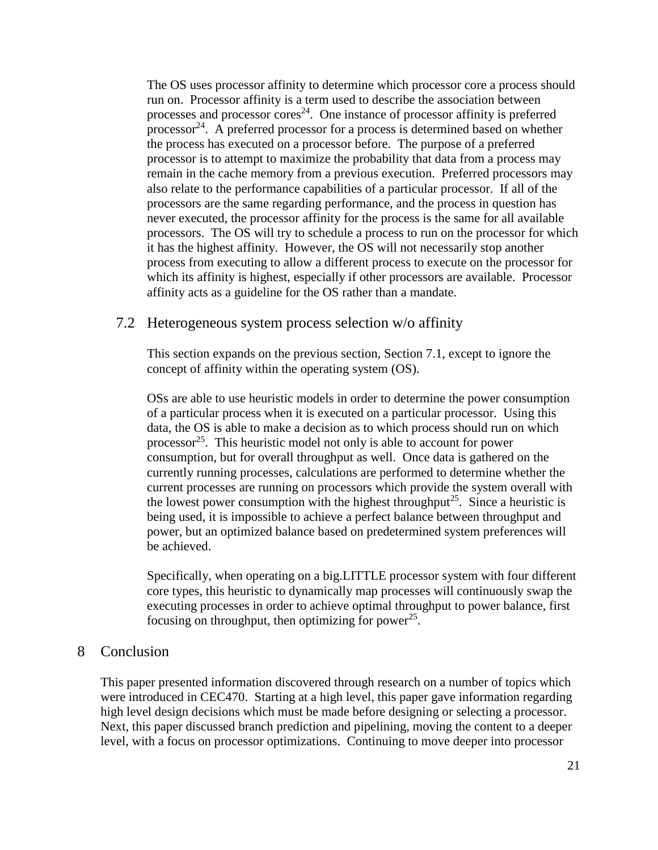The OS uses processor affinity to determine which processor core a process should run on. Processor affinity is a term used to describe the association between processes and processor cores<sup>24</sup>. One instance of processor affinity is preferred processor<sup>24</sup>. A preferred processor for a process is determined based on whether the process has executed on a processor before. The purpose of a preferred processor is to attempt to maximize the probability that data from a process may remain in the cache memory from a previous execution. Preferred processors may also relate to the performance capabilities of a particular processor. If all of the processors are the same regarding performance, and the process in question has never executed, the processor affinity for the process is the same for all available processors. The OS will try to schedule a process to run on the processor for which it has the highest affinity. However, the OS will not necessarily stop another process from executing to allow a different process to execute on the processor for which its affinity is highest, especially if other processors are available. Processor affinity acts as a guideline for the OS rather than a mandate.

#### <span id="page-21-0"></span>7.2 Heterogeneous system process selection w/o affinity

This section expands on the previous section, Section 7.1, except to ignore the concept of affinity within the operating system (OS).

OSs are able to use heuristic models in order to determine the power consumption of a particular process when it is executed on a particular processor. Using this data, the OS is able to make a decision as to which process should run on which processor $^{25}$ . This heuristic model not only is able to account for power consumption, but for overall throughput as well. Once data is gathered on the currently running processes, calculations are performed to determine whether the current processes are running on processors which provide the system overall with the lowest power consumption with the highest throughput<sup>25</sup>. Since a heuristic is being used, it is impossible to achieve a perfect balance between throughput and power, but an optimized balance based on predetermined system preferences will be achieved.

Specifically, when operating on a big.LITTLE processor system with four different core types, this heuristic to dynamically map processes will continuously swap the executing processes in order to achieve optimal throughput to power balance, first focusing on throughput, then optimizing for power<sup>25</sup>.

## 8 Conclusion

This paper presented information discovered through research on a number of topics which were introduced in CEC470. Starting at a high level, this paper gave information regarding high level design decisions which must be made before designing or selecting a processor. Next, this paper discussed branch prediction and pipelining, moving the content to a deeper level, with a focus on processor optimizations. Continuing to move deeper into processor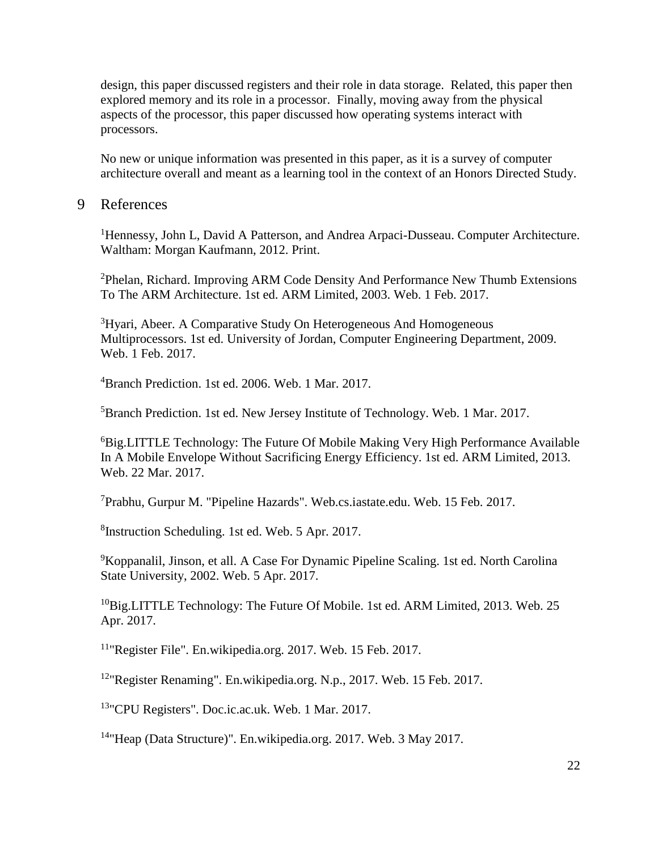design, this paper discussed registers and their role in data storage. Related, this paper then explored memory and its role in a processor. Finally, moving away from the physical aspects of the processor, this paper discussed how operating systems interact with processors.

No new or unique information was presented in this paper, as it is a survey of computer architecture overall and meant as a learning tool in the context of an Honors Directed Study.

#### 9 References

<sup>1</sup>Hennessy, John L, David A Patterson, and Andrea Arpaci-Dusseau. Computer Architecture. Waltham: Morgan Kaufmann, 2012. Print.

<sup>2</sup>Phelan, Richard. Improving ARM Code Density And Performance New Thumb Extensions To The ARM Architecture. 1st ed. ARM Limited, 2003. Web. 1 Feb. 2017.

<sup>3</sup>Hyari, Abeer. A Comparative Study On Heterogeneous And Homogeneous Multiprocessors. 1st ed. University of Jordan, Computer Engineering Department, 2009. Web. 1 Feb. 2017.

<sup>4</sup>Branch Prediction. 1st ed. 2006. Web. 1 Mar. 2017.

<sup>5</sup>Branch Prediction. 1st ed. New Jersey Institute of Technology. Web. 1 Mar. 2017.

 ${}^{6}$ Big.LITTLE Technology: The Future Of Mobile Making Very High Performance Available In A Mobile Envelope Without Sacrificing Energy Efficiency. 1st ed. ARM Limited, 2013. Web. 22 Mar. 2017.

 $7$ Prabhu, Gurpur M. "Pipeline Hazards". Web.cs.iastate.edu. Web. 15 Feb. 2017.

8 Instruction Scheduling. 1st ed. Web. 5 Apr. 2017.

<sup>9</sup>Koppanalil, Jinson, et all. A Case For Dynamic Pipeline Scaling. 1st ed. North Carolina State University, 2002. Web. 5 Apr. 2017.

<sup>10</sup>Big.LITTLE Technology: The Future Of Mobile. 1st ed. ARM Limited, 2013. Web. 25 Apr. 2017.

<sup>11</sup>"Register File". En.wikipedia.org. 2017. Web. 15 Feb. 2017.

<sup>12</sup>"Register Renaming". En.wikipedia.org. N.p., 2017. Web. 15 Feb. 2017.

<sup>13</sup>"CPU Registers". Doc.ic.ac.uk. Web. 1 Mar. 2017.

<sup>14</sup>"Heap (Data Structure)". En.wikipedia.org. 2017. Web. 3 May 2017.